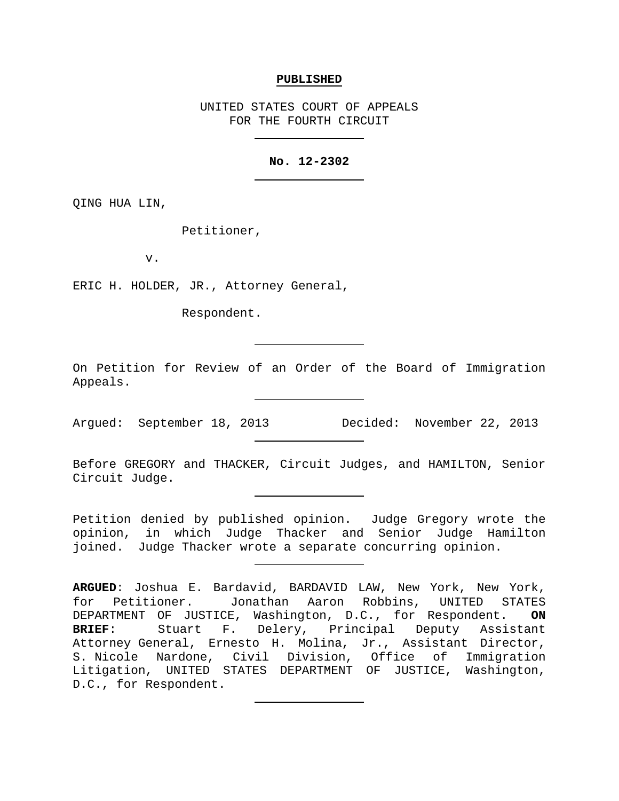#### **PUBLISHED**

UNITED STATES COURT OF APPEALS FOR THE FOURTH CIRCUIT

## **No. 12-2302**

QING HUA LIN,

Petitioner,

v.

ERIC H. HOLDER, JR., Attorney General,

Respondent.

On Petition for Review of an Order of the Board of Immigration Appeals.

Argued: September 18, 2013 Decided: November 22, 2013

Before GREGORY and THACKER, Circuit Judges, and HAMILTON, Senior Circuit Judge.

Petition denied by published opinion. Judge Gregory wrote the opinion, in which Judge Thacker and Senior Judge Hamilton joined. Judge Thacker wrote a separate concurring opinion.

**ARGUED**: Joshua E. Bardavid, BARDAVID LAW, New York, New York, for Petitioner. Jonathan Aaron Robbins, UNITED STATES DEPARTMENT OF JUSTICE, Washington, D.C., for Respondent. **ON**  Stuart F. Delery, Principal Deputy Assistant Attorney General, Ernesto H. Molina, Jr., Assistant Director, S. Nicole Nardone, Civil Division, Office of Immigration Litigation, UNITED STATES DEPARTMENT OF JUSTICE, Washington, D.C., for Respondent.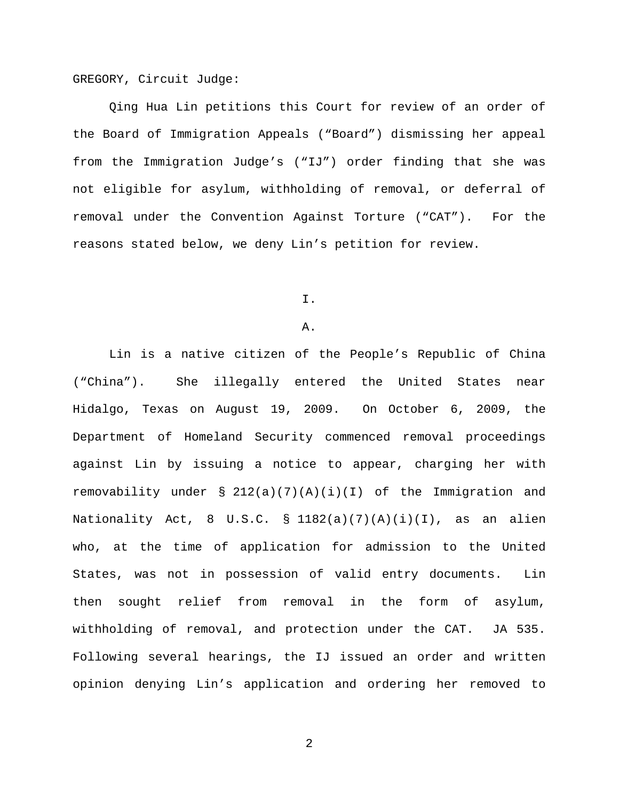GREGORY, Circuit Judge:

Qing Hua Lin petitions this Court for review of an order of the Board of Immigration Appeals ("Board") dismissing her appeal from the Immigration Judge's ("IJ") order finding that she was not eligible for asylum, withholding of removal, or deferral of removal under the Convention Against Torture ("CAT"). For the reasons stated below, we deny Lin's petition for review.

I.

### A.

Lin is a native citizen of the People's Republic of China ("China"). She illegally entered the United States near Hidalgo, Texas on August 19, 2009. On October 6, 2009, the Department of Homeland Security commenced removal proceedings against Lin by issuing a notice to appear, charging her with removability under  $\S 212(a)(7)(A)(i)(I)$  of the Immigration and Nationality Act, 8 U.S.C. § 1182(a)(7)(A)(i)(I), as an alien who, at the time of application for admission to the United States, was not in possession of valid entry documents. Lin then sought relief from removal in the form of asylum, withholding of removal, and protection under the CAT. JA 535. Following several hearings, the IJ issued an order and written opinion denying Lin's application and ordering her removed to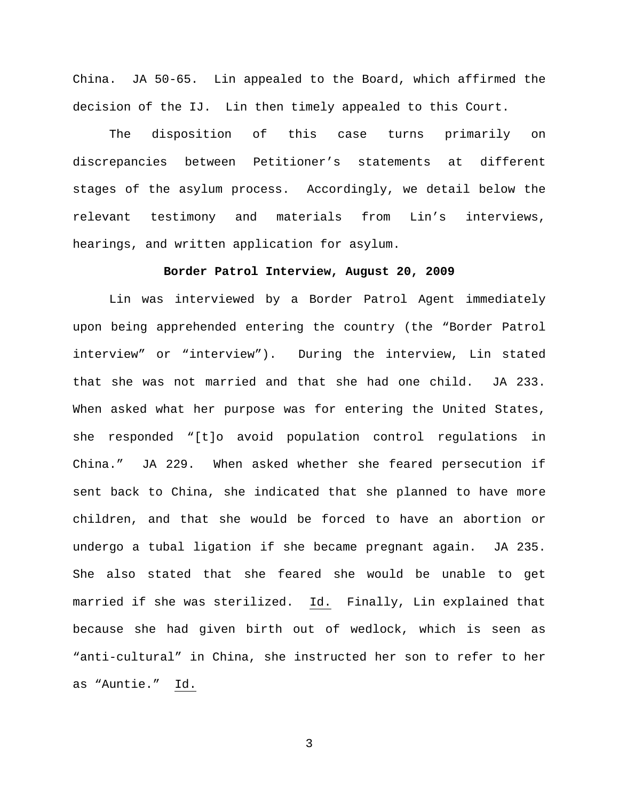China. JA 50-65. Lin appealed to the Board, which affirmed the decision of the IJ. Lin then timely appealed to this Court.

The disposition of this case turns primarily on discrepancies between Petitioner's statements at different stages of the asylum process. Accordingly, we detail below the relevant testimony and materials from Lin's interviews, hearings, and written application for asylum.

## **Border Patrol Interview, August 20, 2009**

Lin was interviewed by a Border Patrol Agent immediately upon being apprehended entering the country (the "Border Patrol interview" or "interview"). During the interview, Lin stated that she was not married and that she had one child. JA 233. When asked what her purpose was for entering the United States, she responded "[t]o avoid population control regulations in China." JA 229. When asked whether she feared persecution if sent back to China, she indicated that she planned to have more children, and that she would be forced to have an abortion or undergo a tubal ligation if she became pregnant again. JA 235. She also stated that she feared she would be unable to get married if she was sterilized. Id. Finally, Lin explained that because she had given birth out of wedlock, which is seen as "anti-cultural" in China, she instructed her son to refer to her as "Auntie." Id.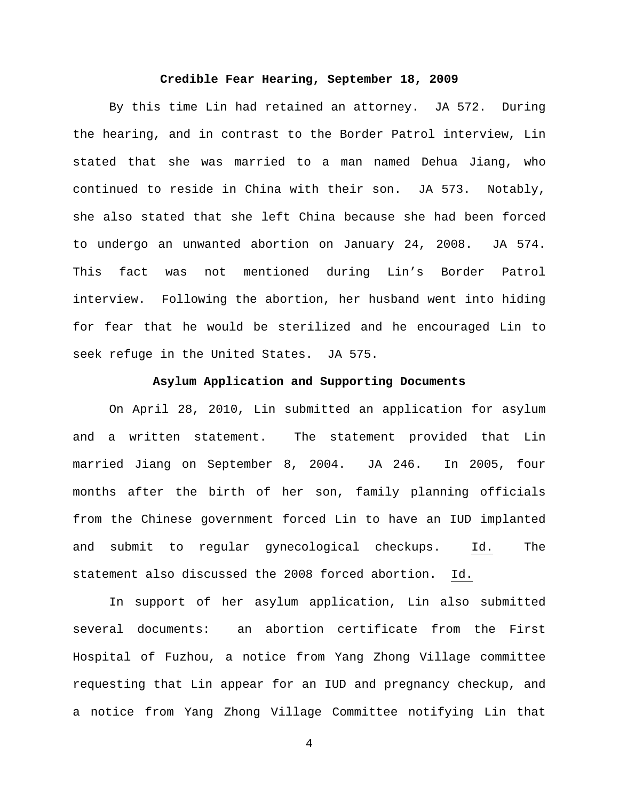## **Credible Fear Hearing, September 18, 2009**

By this time Lin had retained an attorney. JA 572. During the hearing, and in contrast to the Border Patrol interview, Lin stated that she was married to a man named Dehua Jiang, who continued to reside in China with their son. JA 573. Notably, she also stated that she left China because she had been forced to undergo an unwanted abortion on January 24, 2008. JA 574. This fact was not mentioned during Lin's Border Patrol interview. Following the abortion, her husband went into hiding for fear that he would be sterilized and he encouraged Lin to seek refuge in the United States. JA 575.

#### **Asylum Application and Supporting Documents**

On April 28, 2010, Lin submitted an application for asylum and a written statement. The statement provided that Lin married Jiang on September 8, 2004. JA 246. In 2005, four months after the birth of her son, family planning officials from the Chinese government forced Lin to have an IUD implanted and submit to regular gynecological checkups. Id. The statement also discussed the 2008 forced abortion. Id.

In support of her asylum application, Lin also submitted several documents: an abortion certificate from the First Hospital of Fuzhou, a notice from Yang Zhong Village committee requesting that Lin appear for an IUD and pregnancy checkup, and a notice from Yang Zhong Village Committee notifying Lin that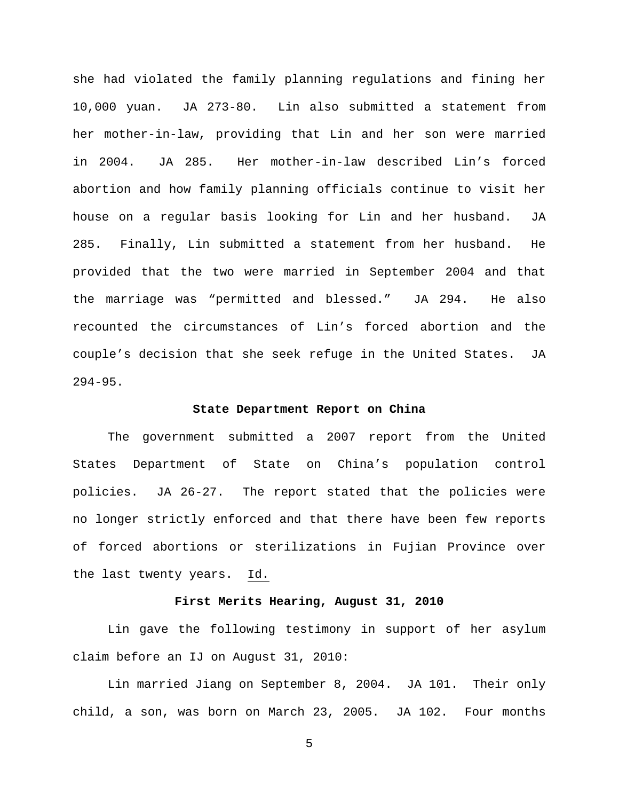she had violated the family planning regulations and fining her 10,000 yuan. JA 273-80. Lin also submitted a statement from her mother-in-law, providing that Lin and her son were married in 2004. JA 285. Her mother-in-law described Lin's forced abortion and how family planning officials continue to visit her house on a regular basis looking for Lin and her husband. JA 285. Finally, Lin submitted a statement from her husband. He provided that the two were married in September 2004 and that the marriage was "permitted and blessed." JA 294. He also recounted the circumstances of Lin's forced abortion and the couple's decision that she seek refuge in the United States. JA 294-95.

### **State Department Report on China**

The government submitted a 2007 report from the United States Department of State on China's population control policies. JA 26-27. The report stated that the policies were no longer strictly enforced and that there have been few reports of forced abortions or sterilizations in Fujian Province over the last twenty years. Id.

### **First Merits Hearing, August 31, 2010**

Lin gave the following testimony in support of her asylum claim before an IJ on August 31, 2010:

Lin married Jiang on September 8, 2004. JA 101. Their only child, a son, was born on March 23, 2005. JA 102. Four months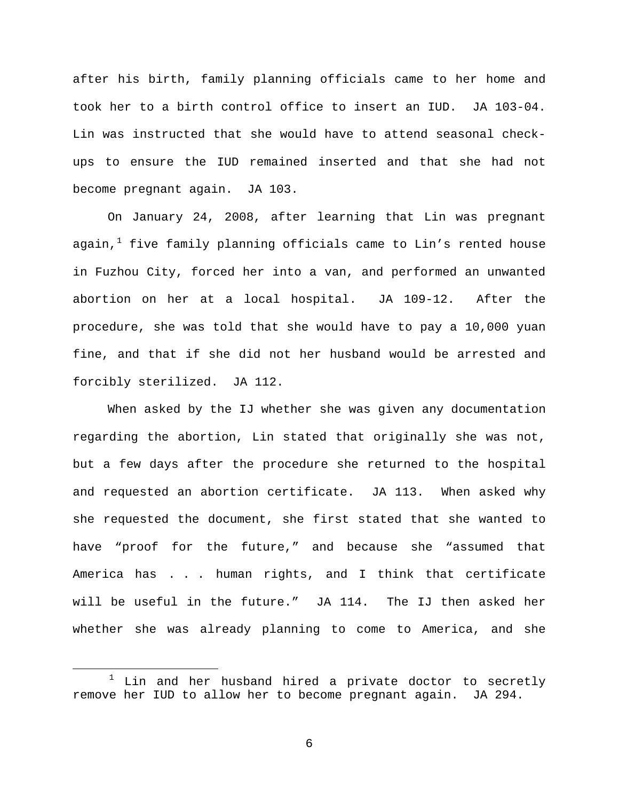after his birth, family planning officials came to her home and took her to a birth control office to insert an IUD. JA 103-04. Lin was instructed that she would have to attend seasonal checkups to ensure the IUD remained inserted and that she had not become pregnant again. JA 103.

On January 24, 2008, after learning that Lin was pregnant again, $1$  five family planning officials came to Lin's rented house in Fuzhou City, forced her into a van, and performed an unwanted abortion on her at a local hospital. JA 109-12. After the procedure, she was told that she would have to pay a 10,000 yuan fine, and that if she did not her husband would be arrested and forcibly sterilized. JA 112.

When asked by the IJ whether she was given any documentation regarding the abortion, Lin stated that originally she was not, but a few days after the procedure she returned to the hospital and requested an abortion certificate. JA 113. When asked why she requested the document, she first stated that she wanted to have "proof for the future," and because she "assumed that America has . . . human rights, and I think that certificate will be useful in the future." JA 114. The IJ then asked her whether she was already planning to come to America, and she

<span id="page-5-0"></span> $1$  Lin and her husband hired a private doctor to secretly remove her IUD to allow her to become pregnant again. JA 294.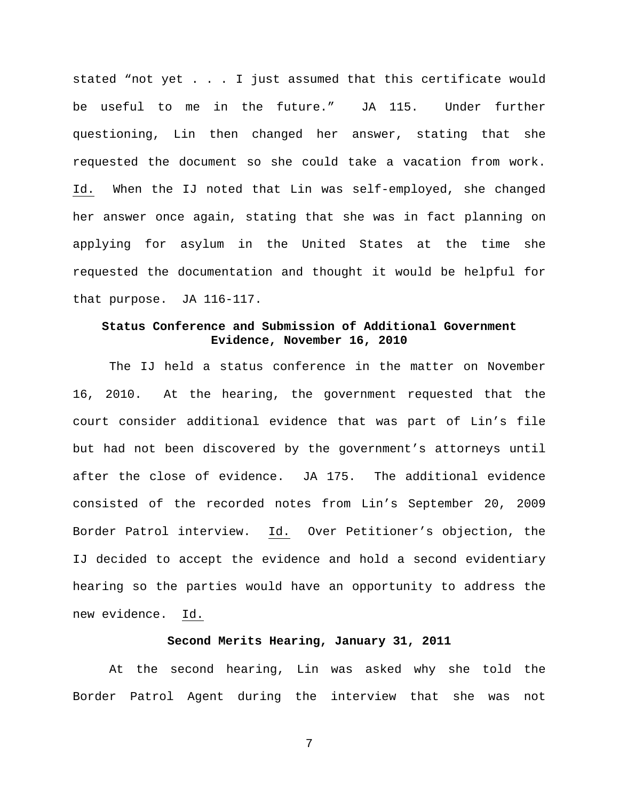stated "not yet . . . I just assumed that this certificate would be useful to me in the future." JA 115. Under further questioning, Lin then changed her answer, stating that she requested the document so she could take a vacation from work. Id. When the IJ noted that Lin was self-employed, she changed her answer once again, stating that she was in fact planning on applying for asylum in the United States at the time she requested the documentation and thought it would be helpful for that purpose. JA 116-117.

# **Status Conference and Submission of Additional Government Evidence, November 16, 2010**

The IJ held a status conference in the matter on November 16, 2010. At the hearing, the government requested that the court consider additional evidence that was part of Lin's file but had not been discovered by the government's attorneys until after the close of evidence. JA 175. The additional evidence consisted of the recorded notes from Lin's September 20, 2009 Border Patrol interview. Id. Over Petitioner's objection, the IJ decided to accept the evidence and hold a second evidentiary hearing so the parties would have an opportunity to address the new evidence. Id.

### **Second Merits Hearing, January 31, 2011**

At the second hearing, Lin was asked why she told the Border Patrol Agent during the interview that she was not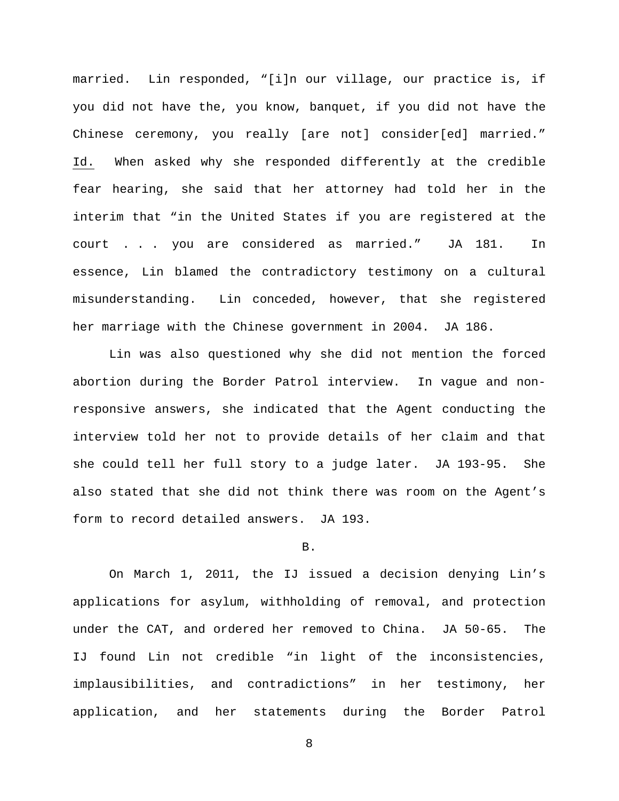married. Lin responded, "[i]n our village, our practice is, if you did not have the, you know, banquet, if you did not have the Chinese ceremony, you really [are not] consider[ed] married." Id. When asked why she responded differently at the credible fear hearing, she said that her attorney had told her in the interim that "in the United States if you are registered at the court . . . you are considered as married." JA 181. In essence, Lin blamed the contradictory testimony on a cultural misunderstanding. Lin conceded, however, that she registered her marriage with the Chinese government in 2004. JA 186.

Lin was also questioned why she did not mention the forced abortion during the Border Patrol interview. In vague and nonresponsive answers, she indicated that the Agent conducting the interview told her not to provide details of her claim and that she could tell her full story to a judge later. JA 193-95. She also stated that she did not think there was room on the Agent's form to record detailed answers. JA 193.

#### B.

On March 1, 2011, the IJ issued a decision denying Lin's applications for asylum, withholding of removal, and protection under the CAT, and ordered her removed to China. JA 50-65. The IJ found Lin not credible "in light of the inconsistencies, implausibilities, and contradictions" in her testimony, her application, and her statements during the Border Patrol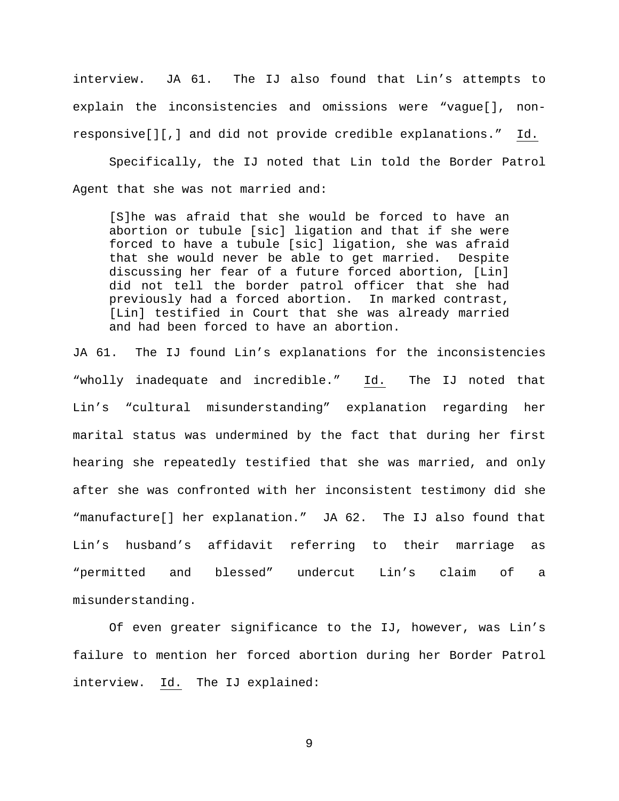interview. JA 61. The IJ also found that Lin's attempts to explain the inconsistencies and omissions were "vague[], nonresponsive[][,] and did not provide credible explanations." Id.

Specifically, the IJ noted that Lin told the Border Patrol Agent that she was not married and:

[S]he was afraid that she would be forced to have an abortion or tubule [sic] ligation and that if she were forced to have a tubule [sic] ligation, she was afraid that she would never be able to get married. Despite discussing her fear of a future forced abortion, [Lin] did not tell the border patrol officer that she had previously had a forced abortion. In marked contrast, [Lin] testified in Court that she was already married and had been forced to have an abortion.

JA 61. The IJ found Lin's explanations for the inconsistencies "wholly inadequate and incredible." Id. The IJ noted that Lin's "cultural misunderstanding" explanation regarding her marital status was undermined by the fact that during her first hearing she repeatedly testified that she was married, and only after she was confronted with her inconsistent testimony did she "manufacture[] her explanation." JA 62. The IJ also found that Lin's husband's affidavit referring to their marriage as "permitted and blessed" undercut Lin's claim of a misunderstanding.

Of even greater significance to the IJ, however, was Lin's failure to mention her forced abortion during her Border Patrol interview. Id. The IJ explained: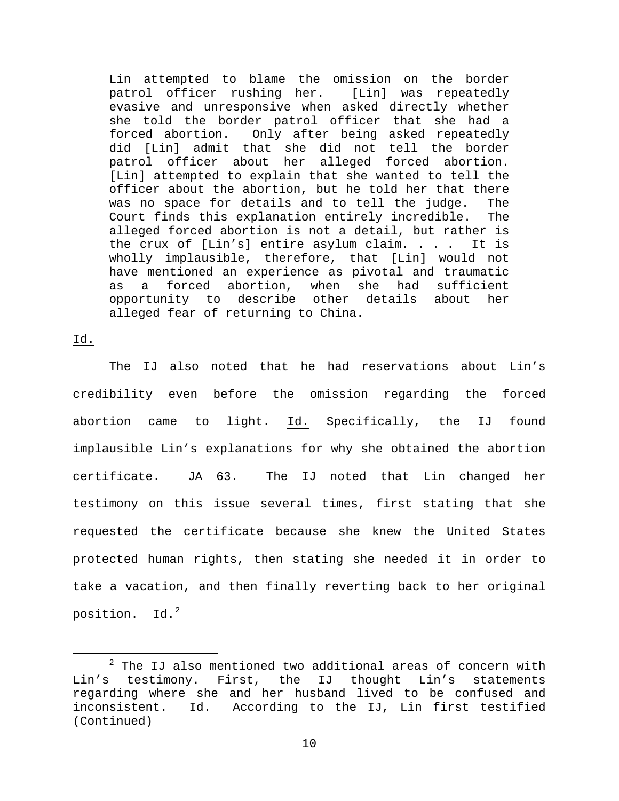Lin attempted to blame the omission on the border patrol officer rushing her. [Lin] was repeatedly evasive and unresponsive when asked directly whether she told the border patrol officer that she had a forced abortion. Only after being asked repeatedly did [Lin] admit that she did not tell the border patrol officer about her alleged forced abortion. [Lin] attempted to explain that she wanted to tell the officer about the abortion, but he told her that there was no space for details and to tell the judge. The Court finds this explanation entirely incredible. The alleged forced abortion is not a detail, but rather is<br>the crux of [Lin's] entire asylum claim. . . . It is the crux of [Lin's] entire asylum claim.  $\ldots$ . wholly implausible, therefore, that [Lin] would not have mentioned an experience as pivotal and traumatic<br>as a forced abortion, when she had sufficient as a forced abortion, when she had opportunity to describe other details about her alleged fear of returning to China.

Id.

The IJ also noted that he had reservations about Lin's credibility even before the omission regarding the forced abortion came to light. Id. Specifically, the IJ found implausible Lin's explanations for why she obtained the abortion certificate. JA 63. The IJ noted that Lin changed her testimony on this issue several times, first stating that she requested the certificate because she knew the United States protected human rights, then stating she needed it in order to take a vacation, and then finally reverting back to her original position. Id. $^2$  $^2$ 

<span id="page-9-0"></span> $2$  The IJ also mentioned two additional areas of concern with<br>testimony. First, the IJ thought Lin's statements Lin's testimony. First, the IJ thought Lin's regarding where she and her husband lived to be confused and<br>inconsistent. Id. According to the IJ, Lin first testified According to the IJ, Lin first testified (Continued)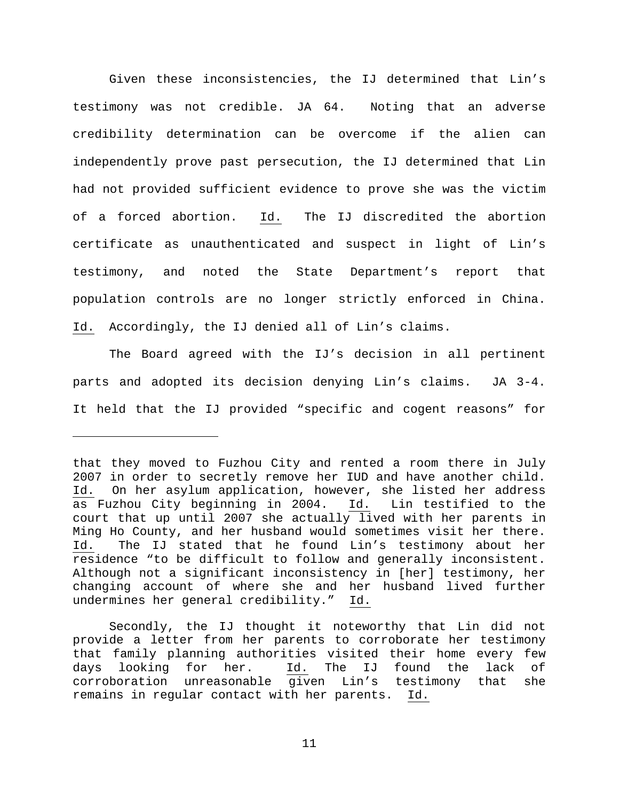Given these inconsistencies, the IJ determined that Lin's testimony was not credible. JA 64. Noting that an adverse credibility determination can be overcome if the alien can independently prove past persecution, the IJ determined that Lin had not provided sufficient evidence to prove she was the victim of a forced abortion. Id. The IJ discredited the abortion certificate as unauthenticated and suspect in light of Lin's testimony, and noted the State Department's report that population controls are no longer strictly enforced in China. Id. Accordingly, the IJ denied all of Lin's claims.

The Board agreed with the IJ's decision in all pertinent parts and adopted its decision denying Lin's claims. JA 3-4. It held that the IJ provided "specific and cogent reasons" for

Ĩ.

that they moved to Fuzhou City and rented a room there in July 2007 in order to secretly remove her IUD and have another child. Id. On her asylum application, however, she listed her address<br>as Fuzhou City beginning in 2004. Id. Lin testified to the as Fuzhou City beginning in 2004. court that up until 2007 she actually lived with her parents in Ming Ho County, and her husband would sometimes visit her there. Id. The IJ stated that he found Lin's testimony about her residence "to be difficult to follow and generally inconsistent. Although not a significant inconsistency in [her] testimony, her changing account of where she and her husband lived further undermines her general credibility." Id.

Secondly, the IJ thought it noteworthy that Lin did not provide a letter from her parents to corroborate her testimony that family planning authorities visited their home every few<br>days looking for her. Id. The IJ found the lack of days looking for her. Id. The IJ found the lack of corroboration unreasonable given Lin's testimony that she remains in regular contact with her parents. Id.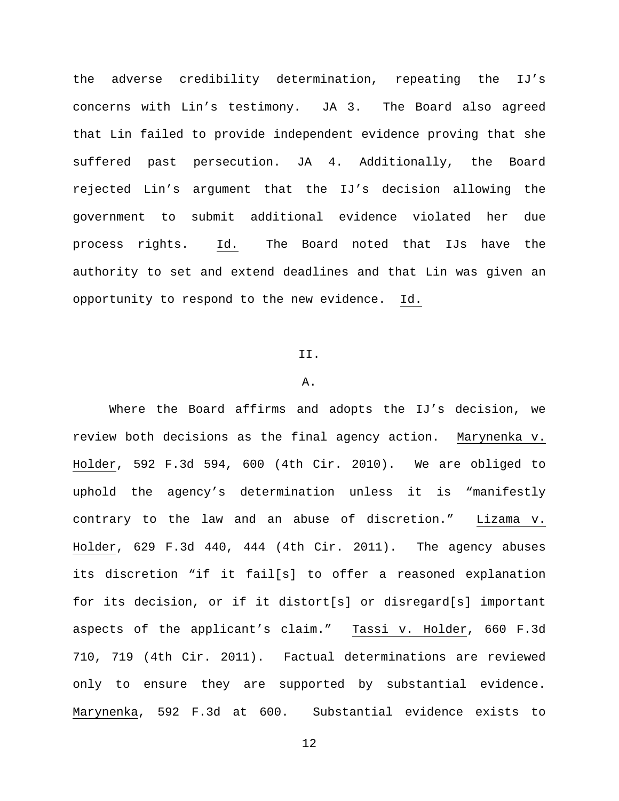the adverse credibility determination, repeating the IJ's concerns with Lin's testimony. JA 3. The Board also agreed that Lin failed to provide independent evidence proving that she suffered past persecution. JA 4. Additionally, the Board rejected Lin's argument that the IJ's decision allowing the government to submit additional evidence violated her due process rights. Id. The Board noted that IJs have the authority to set and extend deadlines and that Lin was given an opportunity to respond to the new evidence. Id.

#### II.

#### A.

Where the Board affirms and adopts the IJ's decision, we review both decisions as the final agency action. Marynenka v. Holder, 592 F.3d 594, 600 (4th Cir. 2010). We are obliged to uphold the agency's determination unless it is "manifestly contrary to the law and an abuse of discretion." Lizama v. Holder, 629 F.3d 440, 444 (4th Cir. 2011). The agency abuses its discretion "if it fail[s] to offer a reasoned explanation for its decision, or if it distort[s] or disregard[s] important aspects of the applicant's claim." Tassi v. Holder, 660 F.3d 710, 719 (4th Cir. 2011). Factual determinations are reviewed only to ensure they are supported by substantial evidence. Marynenka, 592 F.3d at 600. Substantial evidence exists to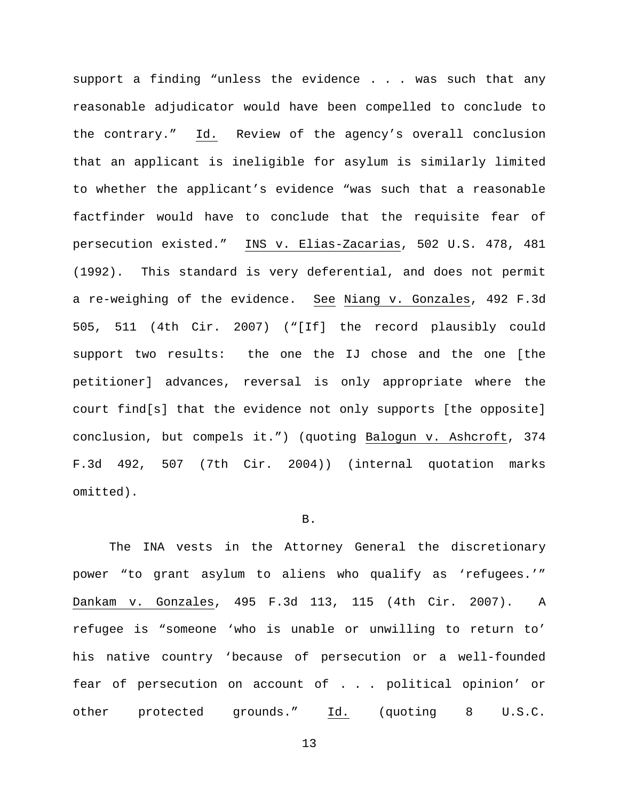support a finding "unless the evidence . . . was such that any reasonable adjudicator would have been compelled to conclude to the contrary." Id. Review of the agency's overall conclusion that an applicant is ineligible for asylum is similarly limited to whether the applicant's evidence "was such that a reasonable factfinder would have to conclude that the requisite fear of persecution existed." INS v. Elias-Zacarias, 502 U.S. 478, 481 (1992). This standard is very deferential, and does not permit a re-weighing of the evidence. See Niang v. Gonzales, 492 F.3d 505, 511 (4th Cir. 2007) ("[If] the record plausibly could support two results: the one the IJ chose and the one [the petitioner] advances, reversal is only appropriate where the court find[s] that the evidence not only supports [the opposite] conclusion, but compels it.") (quoting Balogun v. Ashcroft, 374 F.3d 492, 507 (7th Cir. 2004)) (internal quotation marks omitted).

#### B.

The INA vests in the Attorney General the discretionary power "to grant asylum to aliens who qualify as 'refugees.'" Dankam v. Gonzales, 495 F.3d 113, 115 (4th Cir. 2007). A refugee is "someone 'who is unable or unwilling to return to' his native country 'because of persecution or a well-founded fear of persecution on account of . . . political opinion' or other protected grounds." Id. (quoting 8 U.S.C.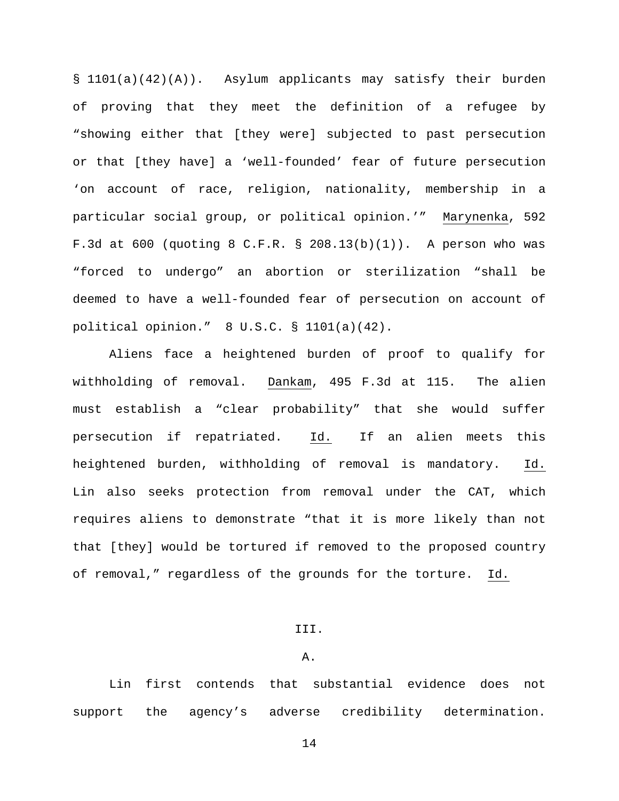§ 1101(a)(42)(A)). Asylum applicants may satisfy their burden of proving that they meet the definition of a refugee by "showing either that [they were] subjected to past persecution or that [they have] a 'well-founded' fear of future persecution 'on account of race, religion, nationality, membership in a particular social group, or political opinion.'" Marynenka, 592 F.3d at 600 (quoting 8 C.F.R. § 208.13(b)(1)). A person who was "forced to undergo" an abortion or sterilization "shall be deemed to have a well-founded fear of persecution on account of political opinion." 8 U.S.C. § 1101(a)(42).

Aliens face a heightened burden of proof to qualify for withholding of removal. Dankam, 495 F.3d at 115. The alien must establish a "clear probability" that she would suffer persecution if repatriated. Id. If an alien meets this heightened burden, withholding of removal is mandatory. Id. Lin also seeks protection from removal under the CAT, which requires aliens to demonstrate "that it is more likely than not that [they] would be tortured if removed to the proposed country of removal," regardless of the grounds for the torture. Id.

### III.

### A.

Lin first contends that substantial evidence does not support the agency's adverse credibility determination.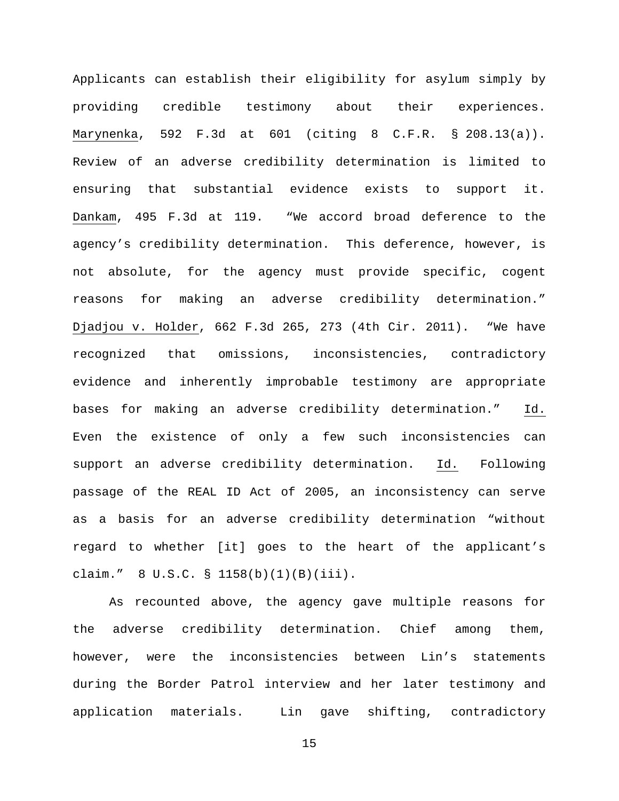Applicants can establish their eligibility for asylum simply by providing credible testimony about their experiences. Marynenka, 592 F.3d at 601 (citing 8 C.F.R. § 208.13(a)). Review of an adverse credibility determination is limited to ensuring that substantial evidence exists to support it. Dankam, 495 F.3d at 119. "We accord broad deference to the agency's credibility determination. This deference, however, is not absolute, for the agency must provide specific, cogent reasons for making an adverse credibility determination." Djadjou v. Holder, 662 F.3d 265, 273 (4th Cir. 2011). "We have recognized that omissions, inconsistencies, contradictory evidence and inherently improbable testimony are appropriate bases for making an adverse credibility determination." Id. Even the existence of only a few such inconsistencies can support an adverse credibility determination. Id. Following passage of the REAL ID Act of 2005, an inconsistency can serve as a basis for an adverse credibility determination "without regard to whether [it] goes to the heart of the applicant's claim." 8 U.S.C. § 1158(b)(1)(B)(iii).

As recounted above, the agency gave multiple reasons for the adverse credibility determination. Chief among them, however, were the inconsistencies between Lin's statements during the Border Patrol interview and her later testimony and application materials. Lin gave shifting, contradictory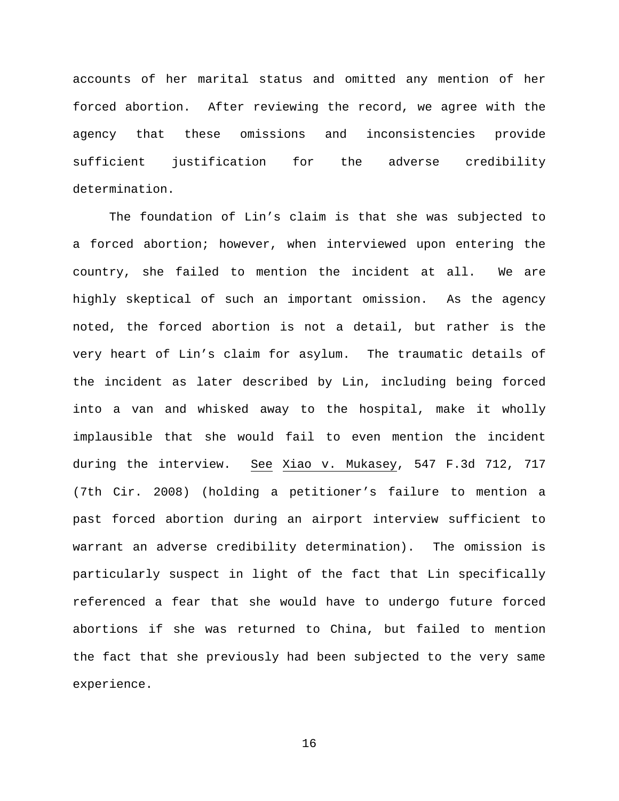accounts of her marital status and omitted any mention of her forced abortion. After reviewing the record, we agree with the agency that these omissions and inconsistencies provide sufficient justification for the adverse credibility determination.

The foundation of Lin's claim is that she was subjected to a forced abortion; however, when interviewed upon entering the country, she failed to mention the incident at all. We are highly skeptical of such an important omission. As the agency noted, the forced abortion is not a detail, but rather is the very heart of Lin's claim for asylum. The traumatic details of the incident as later described by Lin, including being forced into a van and whisked away to the hospital, make it wholly implausible that she would fail to even mention the incident during the interview. See Xiao v. Mukasey, 547 F.3d 712, 717 (7th Cir. 2008) (holding a petitioner's failure to mention a past forced abortion during an airport interview sufficient to warrant an adverse credibility determination). The omission is particularly suspect in light of the fact that Lin specifically referenced a fear that she would have to undergo future forced abortions if she was returned to China, but failed to mention the fact that she previously had been subjected to the very same experience.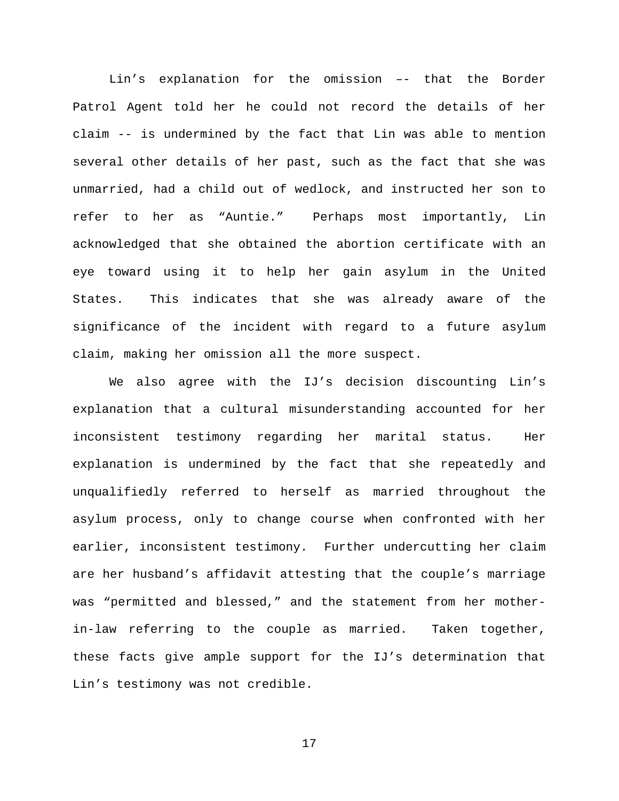Lin's explanation for the omission –- that the Border Patrol Agent told her he could not record the details of her claim -- is undermined by the fact that Lin was able to mention several other details of her past, such as the fact that she was unmarried, had a child out of wedlock, and instructed her son to refer to her as "Auntie." Perhaps most importantly, Lin acknowledged that she obtained the abortion certificate with an eye toward using it to help her gain asylum in the United States. This indicates that she was already aware of the significance of the incident with regard to a future asylum claim, making her omission all the more suspect.

We also agree with the IJ's decision discounting Lin's explanation that a cultural misunderstanding accounted for her inconsistent testimony regarding her marital status. Her explanation is undermined by the fact that she repeatedly and unqualifiedly referred to herself as married throughout the asylum process, only to change course when confronted with her earlier, inconsistent testimony. Further undercutting her claim are her husband's affidavit attesting that the couple's marriage was "permitted and blessed," and the statement from her motherin-law referring to the couple as married. Taken together, these facts give ample support for the IJ's determination that Lin's testimony was not credible.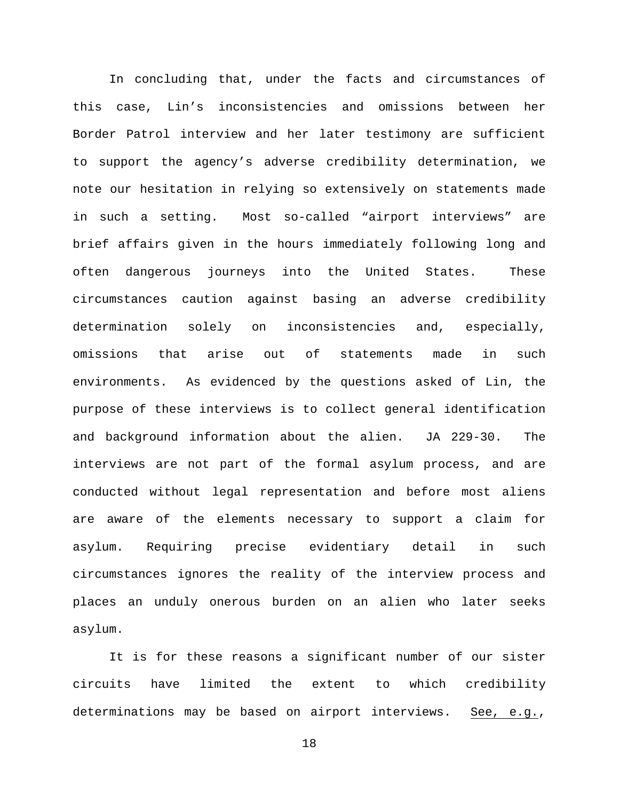In concluding that, under the facts and circumstances of this case, Lin's inconsistencies and omissions between her Border Patrol interview and her later testimony are sufficient to support the agency's adverse credibility determination, we note our hesitation in relying so extensively on statements made in such a setting. Most so-called "airport interviews" are brief affairs given in the hours immediately following long and often dangerous journeys into the United States. These circumstances caution against basing an adverse credibility determination solely on inconsistencies and, especially, omissions that arise out of statements made in such environments. As evidenced by the questions asked of Lin, the purpose of these interviews is to collect general identification and background information about the alien. JA 229-30. The interviews are not part of the formal asylum process, and are conducted without legal representation and before most aliens are aware of the elements necessary to support a claim for asylum. Requiring precise evidentiary detail in such circumstances ignores the reality of the interview process and places an unduly onerous burden on an alien who later seeks asylum.

It is for these reasons a significant number of our sister circuits have limited the extent to which credibility determinations may be based on airport interviews. See, e.g.,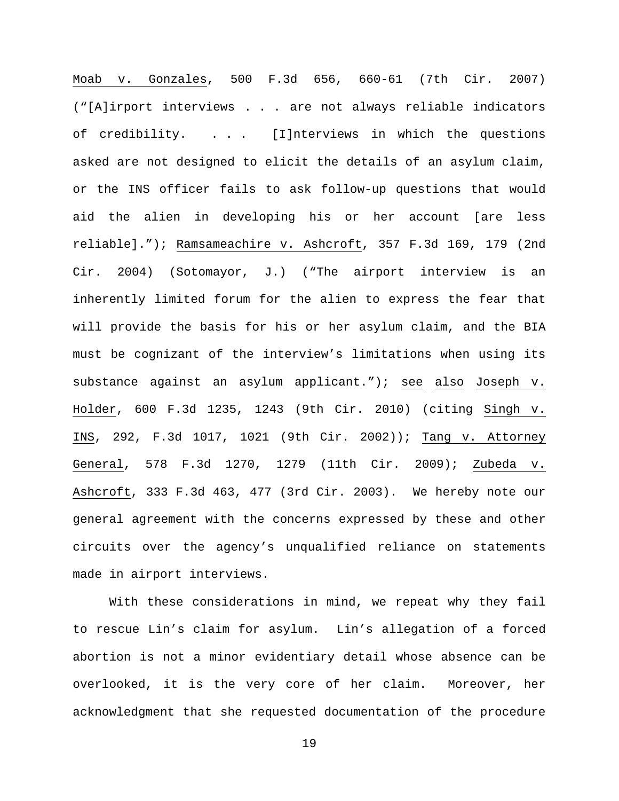Moab v. Gonzales, 500 F.3d 656, 660-61 (7th Cir. 2007) ("[A]irport interviews . . . are not always reliable indicators of credibility. . . . [I]nterviews in which the questions asked are not designed to elicit the details of an asylum claim, or the INS officer fails to ask follow-up questions that would aid the alien in developing his or her account [are less reliable]."); Ramsameachire v. Ashcroft, 357 F.3d 169, 179 (2nd Cir. 2004) (Sotomayor, J.) ("The airport interview is an inherently limited forum for the alien to express the fear that will provide the basis for his or her asylum claim, and the BIA must be cognizant of the interview's limitations when using its substance against an asylum applicant."); see also Joseph v. Holder, 600 F.3d 1235, 1243 (9th Cir. 2010) (citing Singh v. INS, 292, F.3d 1017, 1021 (9th Cir. 2002)); Tang v. Attorney General, 578 F.3d 1270, 1279 (11th Cir. 2009); Zubeda v. Ashcroft, 333 F.3d 463, 477 (3rd Cir. 2003). We hereby note our general agreement with the concerns expressed by these and other circuits over the agency's unqualified reliance on statements made in airport interviews.

With these considerations in mind, we repeat why they fail to rescue Lin's claim for asylum. Lin's allegation of a forced abortion is not a minor evidentiary detail whose absence can be overlooked, it is the very core of her claim. Moreover, her acknowledgment that she requested documentation of the procedure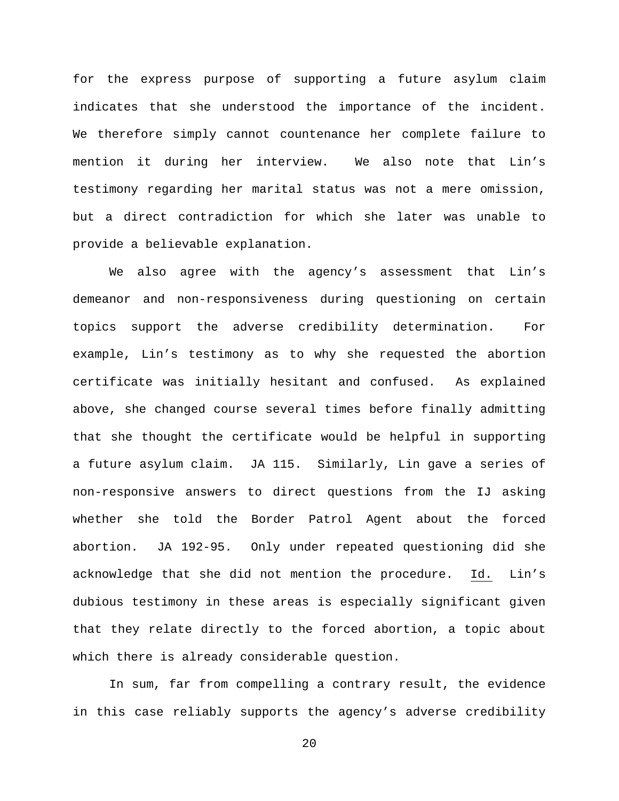for the express purpose of supporting a future asylum claim indicates that she understood the importance of the incident. We therefore simply cannot countenance her complete failure to mention it during her interview. We also note that Lin's testimony regarding her marital status was not a mere omission, but a direct contradiction for which she later was unable to provide a believable explanation.

We also agree with the agency's assessment that Lin's demeanor and non-responsiveness during questioning on certain topics support the adverse credibility determination. For example, Lin's testimony as to why she requested the abortion certificate was initially hesitant and confused. As explained above, she changed course several times before finally admitting that she thought the certificate would be helpful in supporting a future asylum claim. JA 115. Similarly, Lin gave a series of non-responsive answers to direct questions from the IJ asking whether she told the Border Patrol Agent about the forced abortion. JA 192-95. Only under repeated questioning did she acknowledge that she did not mention the procedure. Id. Lin's dubious testimony in these areas is especially significant given that they relate directly to the forced abortion, a topic about which there is already considerable question.

In sum, far from compelling a contrary result, the evidence in this case reliably supports the agency's adverse credibility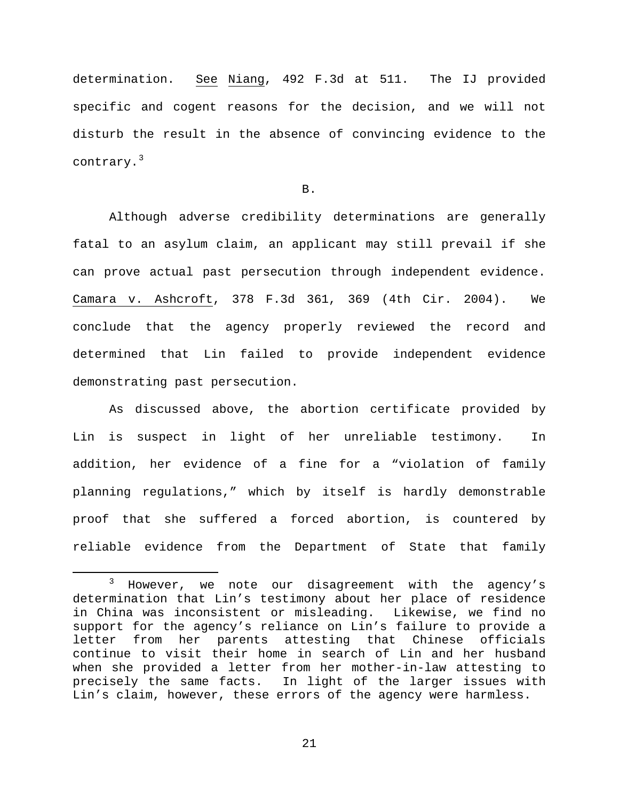determination. See Niang, 492 F.3d at 511. The IJ provided specific and cogent reasons for the decision, and we will not disturb the result in the absence of convincing evidence to the contrary.<sup>[3](#page-20-0)</sup>

B.

Although adverse credibility determinations are generally fatal to an asylum claim, an applicant may still prevail if she can prove actual past persecution through independent evidence. Camara v. Ashcroft, 378 F.3d 361, 369 (4th Cir. 2004). We conclude that the agency properly reviewed the record and determined that Lin failed to provide independent evidence demonstrating past persecution.

As discussed above, the abortion certificate provided by Lin is suspect in light of her unreliable testimony. In addition, her evidence of a fine for a "violation of family planning regulations," which by itself is hardly demonstrable proof that she suffered a forced abortion, is countered by reliable evidence from the Department of State that family

<span id="page-20-0"></span><sup>&</sup>lt;sup>3</sup> However, we note our disagreement with the agency's determination that Lin's testimony about her place of residence in China was inconsistent or misleading. Likewise, we find no support for the agency's reliance on Lin's failure to provide a letter from her parents attesting that Chinese officials continue to visit their home in search of Lin and her husband when she provided a letter from her mother-in-law attesting to precisely the same facts. In light of the larger issues with Lin's claim, however, these errors of the agency were harmless.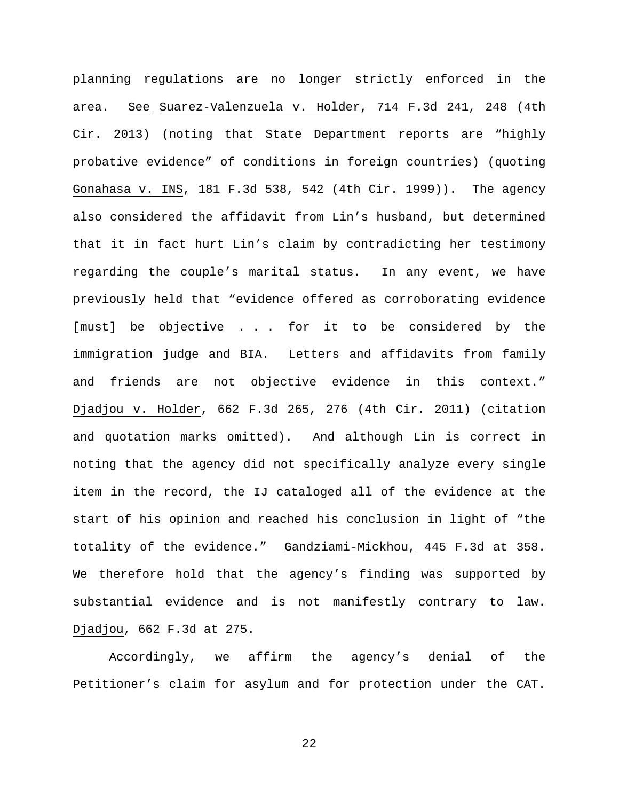planning regulations are no longer strictly enforced in the area. See Suarez-Valenzuela v. Holder, 714 F.3d 241, 248 (4th Cir. 2013) (noting that State Department reports are "highly probative evidence" of conditions in foreign countries) (quoting Gonahasa v. INS, 181 F.3d 538, 542 (4th Cir. 1999)). The agency also considered the affidavit from Lin's husband, but determined that it in fact hurt Lin's claim by contradicting her testimony regarding the couple's marital status. In any event, we have previously held that "evidence offered as corroborating evidence [must] be objective . . . for it to be considered by the immigration judge and BIA. Letters and affidavits from family and friends are not objective evidence in this context." Djadjou v. Holder, 662 F.3d 265, 276 (4th Cir. 2011) (citation and quotation marks omitted). And although Lin is correct in noting that the agency did not specifically analyze every single item in the record, the IJ cataloged all of the evidence at the start of his opinion and reached his conclusion in light of "the totality of the evidence." Gandziami-Mickhou, 445 F.3d at 358. We therefore hold that the agency's finding was supported by substantial evidence and is not manifestly contrary to law. Djadjou, 662 F.3d at 275.

Accordingly, we affirm the agency's denial of the Petitioner's claim for asylum and for protection under the CAT.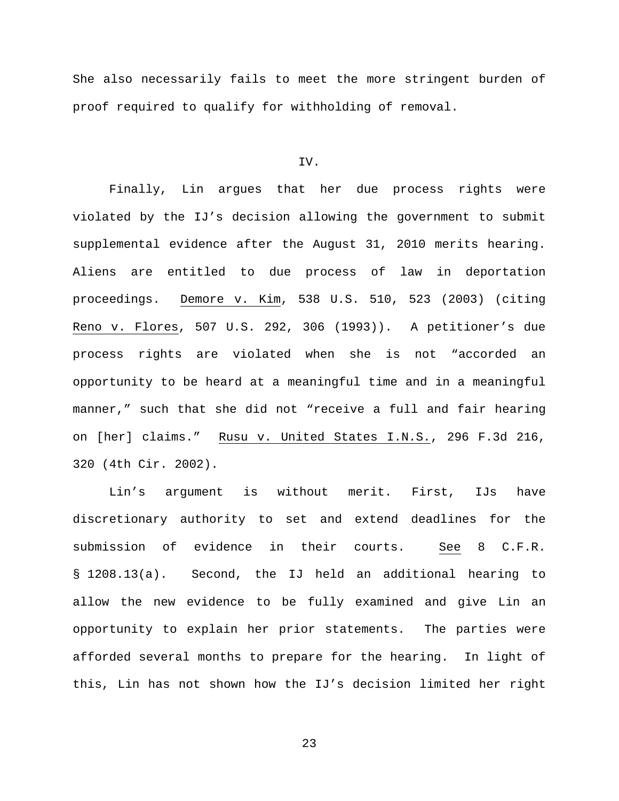She also necessarily fails to meet the more stringent burden of proof required to qualify for withholding of removal.

#### IV.

Finally, Lin argues that her due process rights were violated by the IJ's decision allowing the government to submit supplemental evidence after the August 31, 2010 merits hearing. Aliens are entitled to due process of law in deportation proceedings. Demore v. Kim, 538 U.S. 510, 523 (2003) (citing Reno v. Flores, 507 U.S. 292, 306 (1993)). A petitioner's due process rights are violated when she is not "accorded an opportunity to be heard at a meaningful time and in a meaningful manner," such that she did not "receive a full and fair hearing on [her] claims." Rusu v. United States I.N.S., 296 F.3d 216, 320 (4th Cir. 2002).

Lin's argument is without merit. First, IJs have discretionary authority to set and extend deadlines for the submission of evidence in their courts. See 8 C.F.R. § 1208.13(a). Second, the IJ held an additional hearing to allow the new evidence to be fully examined and give Lin an opportunity to explain her prior statements. The parties were afforded several months to prepare for the hearing. In light of this, Lin has not shown how the IJ's decision limited her right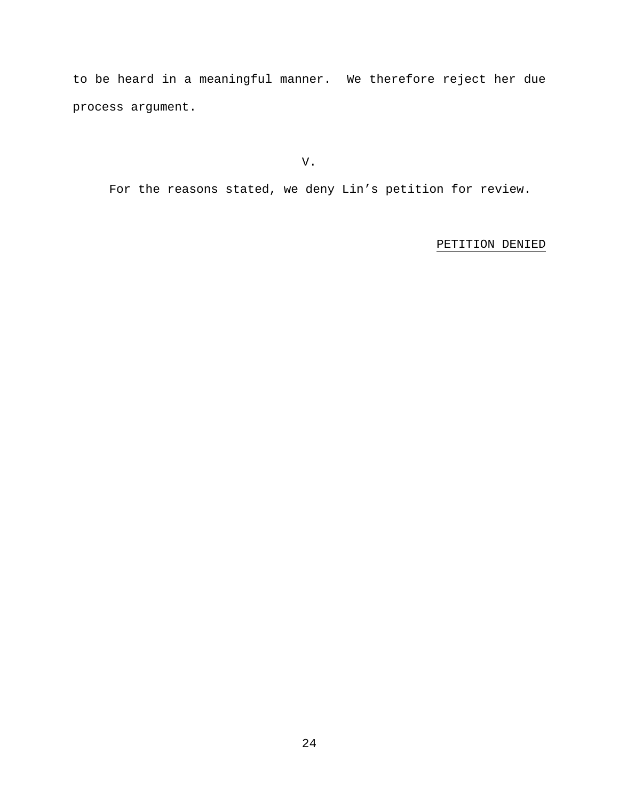to be heard in a meaningful manner. We therefore reject her due process argument.

V.

For the reasons stated, we deny Lin's petition for review.

# PETITION DENIED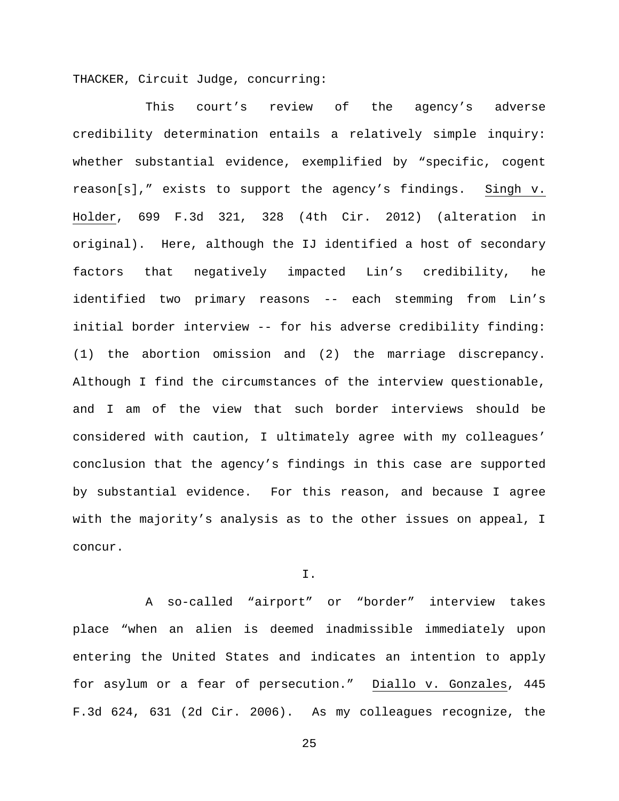THACKER, Circuit Judge, concurring:

This court's review of the agency's adverse credibility determination entails a relatively simple inquiry: whether substantial evidence, exemplified by "specific, cogent reason[s]," exists to support the agency's findings. Singh v. Holder, 699 F.3d 321, 328 (4th Cir. 2012) (alteration in original). Here, although the IJ identified a host of secondary factors that negatively impacted Lin's credibility, he identified two primary reasons -- each stemming from Lin's initial border interview -- for his adverse credibility finding: (1) the abortion omission and (2) the marriage discrepancy. Although I find the circumstances of the interview questionable, and I am of the view that such border interviews should be considered with caution, I ultimately agree with my colleagues' conclusion that the agency's findings in this case are supported by substantial evidence. For this reason, and because I agree with the majority's analysis as to the other issues on appeal, I concur.

I.

A so-called "airport" or "border" interview takes place "when an alien is deemed inadmissible immediately upon entering the United States and indicates an intention to apply for asylum or a fear of persecution." Diallo v. Gonzales, 445 F.3d 624, 631 (2d Cir. 2006). As my colleagues recognize, the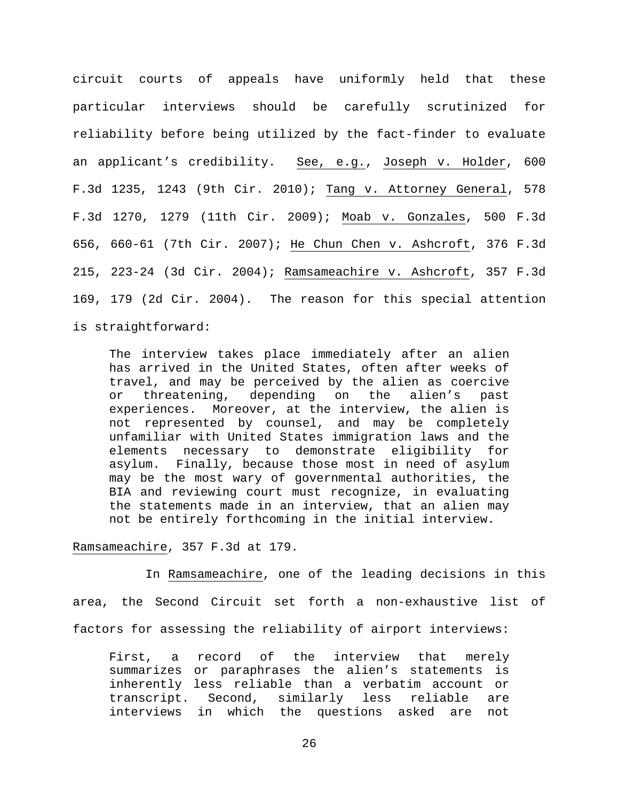circuit courts of appeals have uniformly held that these particular interviews should be carefully scrutinized for reliability before being utilized by the fact-finder to evaluate an applicant's credibility. See, e.g., Joseph v. Holder, 600 F.3d 1235, 1243 (9th Cir. 2010); Tang v. Attorney General, 578 F.3d 1270, 1279 (11th Cir. 2009); Moab v. Gonzales, 500 F.3d 656, 660-61 (7th Cir. 2007); He Chun Chen v. Ashcroft, 376 F.3d 215, 223-24 (3d Cir. 2004); Ramsameachire v. Ashcroft, 357 F.3d 169, 179 (2d Cir. 2004). The reason for this special attention is straightforward:

The interview takes place immediately after an alien has arrived in the United States, often after weeks of travel, and may be perceived by the alien as coercive or threatening, depending on the alien's past experiences. Moreover, at the interview, the alien is not represented by counsel, and may be completely unfamiliar with United States immigration laws and the elements necessary to demonstrate eligibility for asylum. Finally, because those most in need of asylum may be the most wary of governmental authorities, the BIA and reviewing court must recognize, in evaluating the statements made in an interview, that an alien may not be entirely forthcoming in the initial interview.

### Ramsameachire, 357 F.3d at 179.

In Ramsameachire, one of the leading decisions in this area, the Second Circuit set forth a non-exhaustive list of factors for assessing the reliability of airport interviews:

First, a record of the interview that merely summarizes or paraphrases the alien's statements is inherently less reliable than a verbatim account or transcript. Second, similarly less reliable are interviews in which the questions asked are not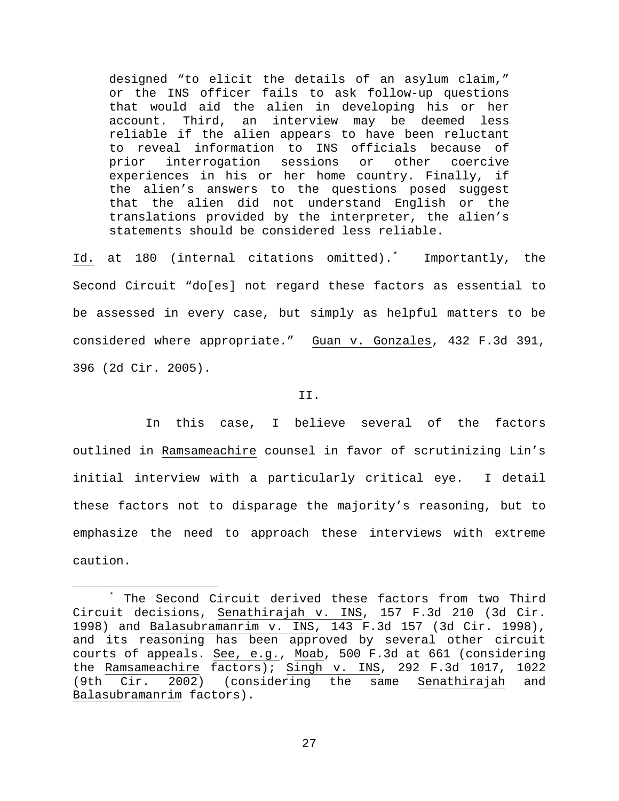designed "to elicit the details of an asylum claim," or the INS officer fails to ask follow-up questions that would aid the alien in developing his or her account. Third, an interview may be deemed less reliable if the alien appears to have been reluctant to reveal information to INS officials because of<br>prior interrogation sessions or other coercive prior interrogation sessions or other experiences in his or her home country. Finally, if the alien's answers to the questions posed suggest that the alien did not understand English or the translations provided by the interpreter, the alien's statements should be considered less reliable.

Id. at 180 (internal citations omitted).[\\*](#page-26-0) Importantly, the Second Circuit "do[es] not regard these factors as essential to be assessed in every case, but simply as helpful matters to be considered where appropriate." Guan v. Gonzales, 432 F.3d 391, 396 (2d Cir. 2005).

#### II.

In this case, I believe several of the factors outlined in Ramsameachire counsel in favor of scrutinizing Lin's initial interview with a particularly critical eye. I detail these factors not to disparage the majority's reasoning, but to emphasize the need to approach these interviews with extreme caution.

<span id="page-26-0"></span> <sup>\*</sup> The Second Circuit derived these factors from two Third Circuit decisions, Senathirajah v. INS, 157 F.3d 210 (3d Cir. 1998) and Balasubramanrim v. INS, 143 F.3d 157 (3d Cir. 1998), and its reasoning has been approved by several other circuit courts of appeals. See, e.g., Moab, 500 F.3d at 661 (considering the Ramsameachire factors); Singh v. INS, 292 F.3d 1017, 1022 (9th Cir. 2002) (considering the same Senathirajah and Balasubramanrim factors).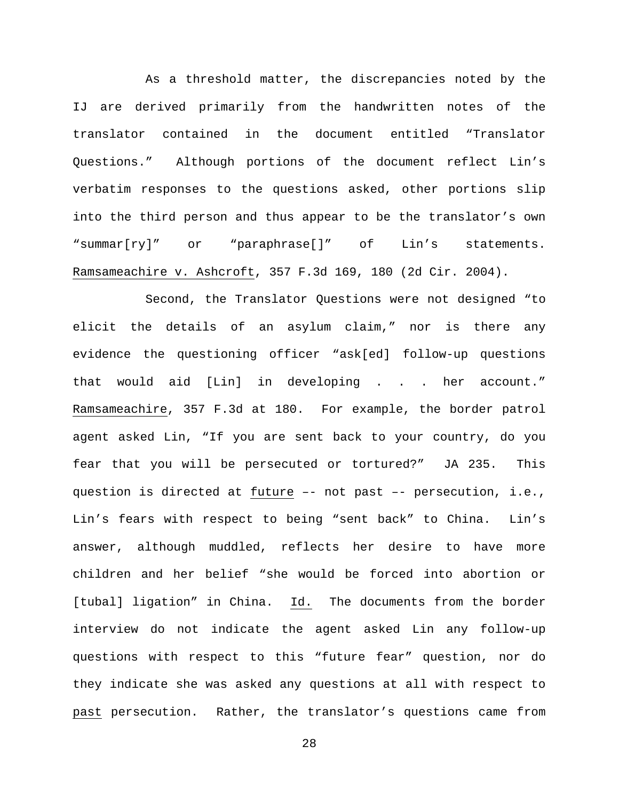As a threshold matter, the discrepancies noted by the IJ are derived primarily from the handwritten notes of the translator contained in the document entitled "Translator Questions." Although portions of the document reflect Lin's verbatim responses to the questions asked, other portions slip into the third person and thus appear to be the translator's own "summar[ry]" or "paraphrase[]" of Lin's statements. Ramsameachire v. Ashcroft, 357 F.3d 169, 180 (2d Cir. 2004).

Second, the Translator Questions were not designed "to elicit the details of an asylum claim," nor is there any evidence the questioning officer "ask[ed] follow-up questions that would aid [Lin] in developing . . . her account." Ramsameachire, 357 F.3d at 180. For example, the border patrol agent asked Lin, "If you are sent back to your country, do you fear that you will be persecuted or tortured?" JA 235. This question is directed at future –- not past –- persecution, i.e., Lin's fears with respect to being "sent back" to China. Lin's answer, although muddled, reflects her desire to have more children and her belief "she would be forced into abortion or [tubal] ligation" in China. Id. The documents from the border interview do not indicate the agent asked Lin any follow-up questions with respect to this "future fear" question, nor do they indicate she was asked any questions at all with respect to past persecution. Rather, the translator's questions came from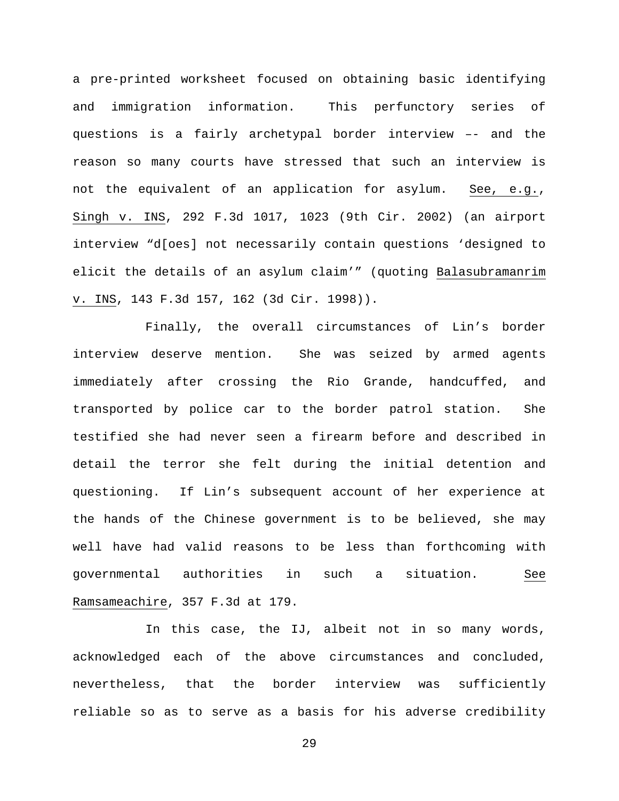a pre-printed worksheet focused on obtaining basic identifying and immigration information. This perfunctory series of questions is a fairly archetypal border interview –- and the reason so many courts have stressed that such an interview is not the equivalent of an application for asylum. See, e.g., Singh v. INS, 292 F.3d 1017, 1023 (9th Cir. 2002) (an airport interview "d[oes] not necessarily contain questions 'designed to elicit the details of an asylum claim'" (quoting Balasubramanrim v. INS, 143 F.3d 157, 162 (3d Cir. 1998)).

Finally, the overall circumstances of Lin's border interview deserve mention. She was seized by armed agents immediately after crossing the Rio Grande, handcuffed, and transported by police car to the border patrol station. She testified she had never seen a firearm before and described in detail the terror she felt during the initial detention and questioning. If Lin's subsequent account of her experience at the hands of the Chinese government is to be believed, she may well have had valid reasons to be less than forthcoming with governmental authorities in such a situation. See Ramsameachire, 357 F.3d at 179.

In this case, the IJ, albeit not in so many words, acknowledged each of the above circumstances and concluded, nevertheless, that the border interview was sufficiently reliable so as to serve as a basis for his adverse credibility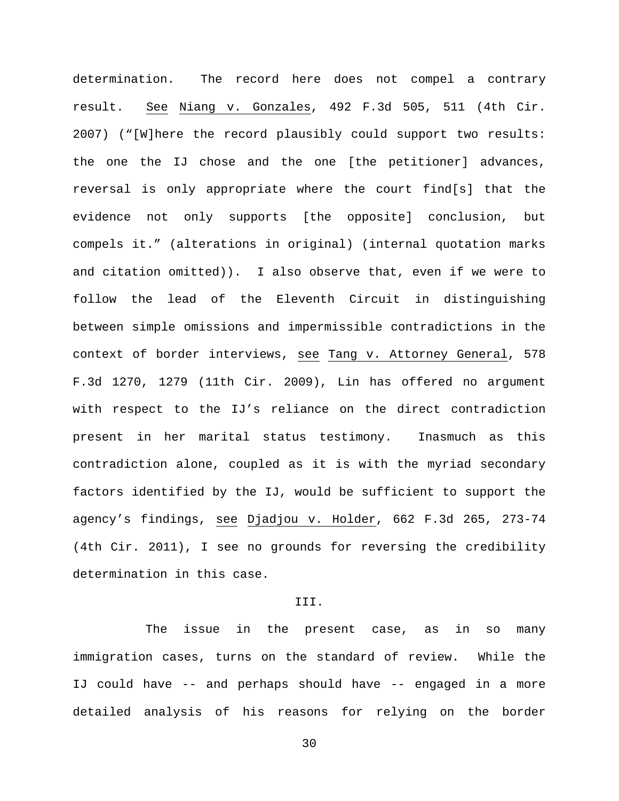determination. The record here does not compel a contrary result. See Niang v. Gonzales, 492 F.3d 505, 511 (4th Cir. 2007) ("[W]here the record plausibly could support two results: the one the IJ chose and the one [the petitioner] advances, reversal is only appropriate where the court find[s] that the evidence not only supports [the opposite] conclusion, but compels it." (alterations in original) (internal quotation marks and citation omitted)). I also observe that, even if we were to follow the lead of the Eleventh Circuit in distinguishing between simple omissions and impermissible contradictions in the context of border interviews, see Tang v. Attorney General, 578 F.3d 1270, 1279 (11th Cir. 2009), Lin has offered no argument with respect to the IJ's reliance on the direct contradiction present in her marital status testimony. Inasmuch as this contradiction alone, coupled as it is with the myriad secondary factors identified by the IJ, would be sufficient to support the agency's findings, see Djadjou v. Holder, 662 F.3d 265, 273-74 (4th Cir. 2011), I see no grounds for reversing the credibility determination in this case.

### III.

The issue in the present case, as in so many immigration cases, turns on the standard of review. While the IJ could have -- and perhaps should have -- engaged in a more detailed analysis of his reasons for relying on the border